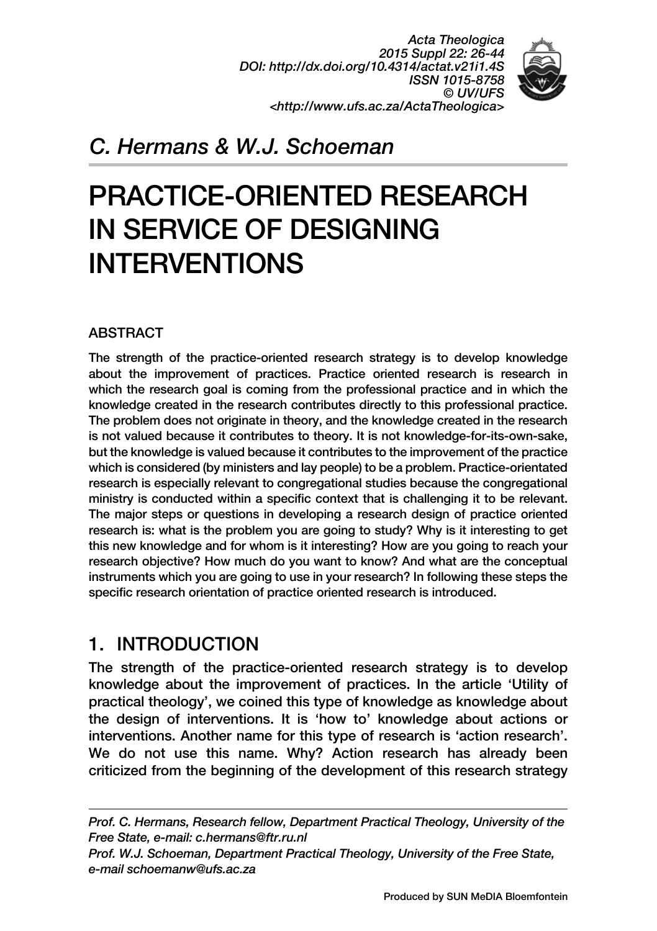*Acta Theologica 2015 Suppl 22: 26-44 DOI: http://dx.doi.org/10.4314/actat.v21i1.4S ISSN 1015-8758 © UV/UFS <http://www.ufs.ac.za/ActaTheologica>*



*C. Hermans & W.J. Schoeman* 

# PRACTICE-ORIENTED RESEARCH IN SERVICE OF DESIGNING INTERVENTIONS

### **ABSTRACT**

The strength of the practice-oriented research strategy is to develop knowledge about the improvement of practices. Practice oriented research is research in which the research goal is coming from the professional practice and in which the knowledge created in the research contributes directly to this professional practice. The problem does not originate in theory, and the knowledge created in the research is not valued because it contributes to theory. It is not knowledge-for-its-own-sake, but the knowledge is valued because it contributes to the improvement of the practice which is considered (by ministers and lay people) to be a problem. Practice-orientated research is especially relevant to congregational studies because the congregational ministry is conducted within a specific context that is challenging it to be relevant. The major steps or questions in developing a research design of practice oriented research is: what is the problem you are going to study? Why is it interesting to get this new knowledge and for whom is it interesting? How are you going to reach your research objective? How much do you want to know? And what are the conceptual instruments which you are going to use in your research? In following these steps the specific research orientation of practice oriented research is introduced.

### 1. INTRODUCTION

The strength of the practice-oriented research strategy is to develop knowledge about the improvement of practices. In the article 'Utility of practical theology', we coined this type of knowledge as knowledge about the design of interventions. It is 'how to' knowledge about actions or interventions. Another name for this type of research is 'action research'. We do not use this name. Why? Action research has already been criticized from the beginning of the development of this research strategy

*Prof. C. Hermans, Research fellow, Department Practical Theology, University of the Free State, e-mail: c.hermans@ftr.ru.nl*

*Prof. W.J. Schoeman, Department Practical Theology, University of the Free State, e-mail schoemanw@ufs.ac.za*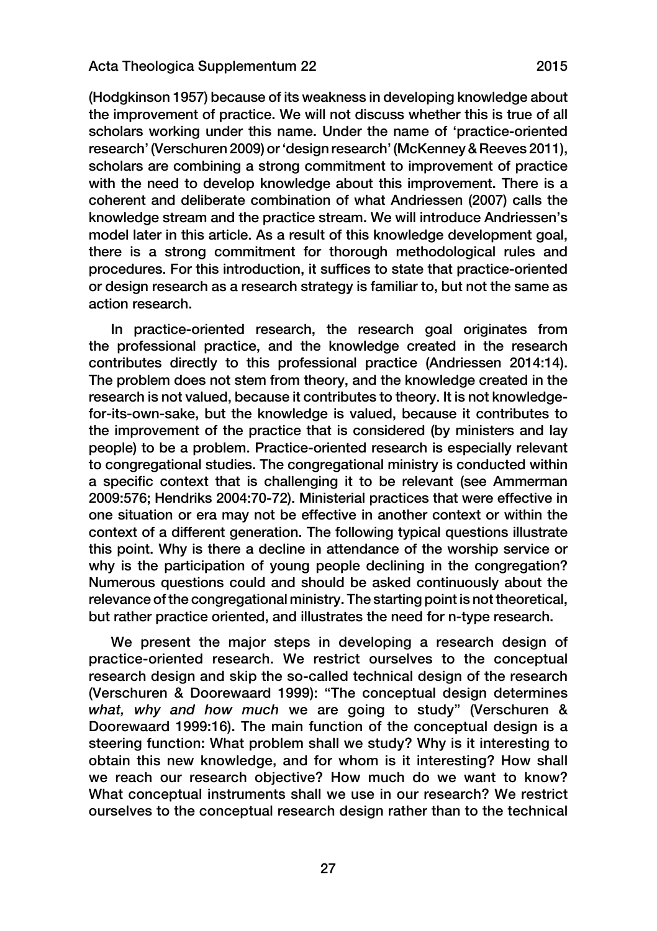(Hodgkinson 1957) because of its weakness in developing knowledge about the improvement of practice. We will not discuss whether this is true of all scholars working under this name. Under the name of 'practice-oriented research' (Verschuren 2009) or 'design research' (McKenney & Reeves 2011), scholars are combining a strong commitment to improvement of practice with the need to develop knowledge about this improvement. There is a coherent and deliberate combination of what Andriessen (2007) calls the knowledge stream and the practice stream. We will introduce Andriessen's model later in this article. As a result of this knowledge development goal, there is a strong commitment for thorough methodological rules and procedures. For this introduction, it suffices to state that practice-oriented or design research as a research strategy is familiar to, but not the same as action research.

In practice-oriented research, the research goal originates from the professional practice, and the knowledge created in the research contributes directly to this professional practice (Andriessen 2014:14). The problem does not stem from theory, and the knowledge created in the research is not valued, because it contributes to theory. It is not knowledgefor-its-own-sake, but the knowledge is valued, because it contributes to the improvement of the practice that is considered (by ministers and lay people) to be a problem. Practice-oriented research is especially relevant to congregational studies. The congregational ministry is conducted within a specific context that is challenging it to be relevant (see Ammerman 2009:576; Hendriks 2004:70-72). Ministerial practices that were effective in one situation or era may not be effective in another context or within the context of a different generation. The following typical questions illustrate this point. Why is there a decline in attendance of the worship service or why is the participation of young people declining in the congregation? Numerous questions could and should be asked continuously about the relevance of the congregational ministry. The starting point is not theoretical, but rather practice oriented, and illustrates the need for n-type research.

We present the major steps in developing a research design of practice-oriented research. We restrict ourselves to the conceptual research design and skip the so-called technical design of the research (Verschuren & Doorewaard 1999): "The conceptual design determines *what, why and how much* we are going to study" (Verschuren & Doorewaard 1999:16). The main function of the conceptual design is a steering function: What problem shall we study? Why is it interesting to obtain this new knowledge, and for whom is it interesting? How shall we reach our research objective? How much do we want to know? What conceptual instruments shall we use in our research? We restrict ourselves to the conceptual research design rather than to the technical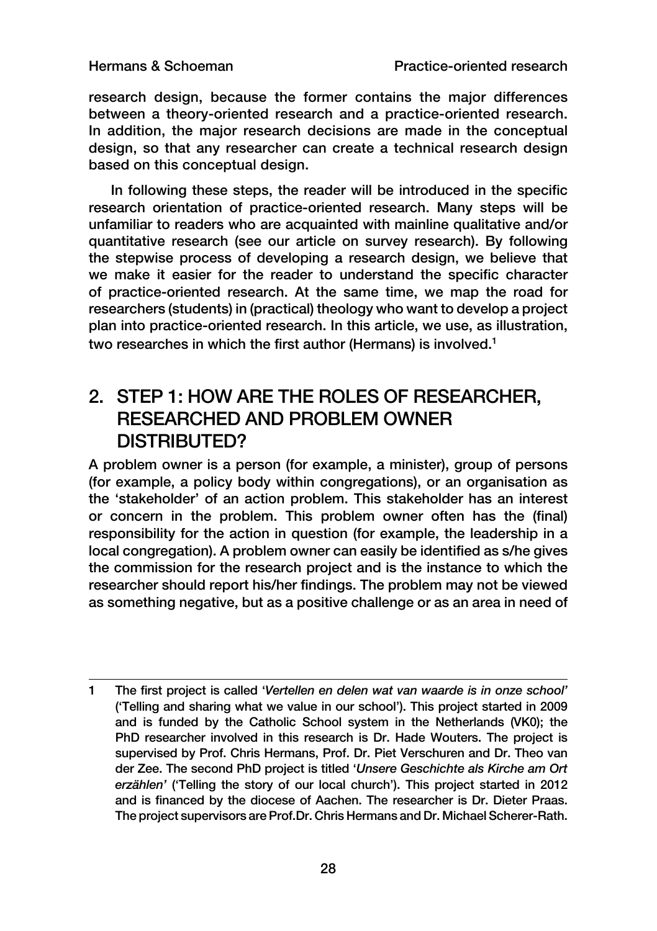research design, because the former contains the major differences between a theory-oriented research and a practice-oriented research. In addition, the major research decisions are made in the conceptual design, so that any researcher can create a technical research design based on this conceptual design.

In following these steps, the reader will be introduced in the specific research orientation of practice-oriented research. Many steps will be unfamiliar to readers who are acquainted with mainline qualitative and/or quantitative research (see our article on survey research). By following the stepwise process of developing a research design, we believe that we make it easier for the reader to understand the specific character of practice-oriented research. At the same time, we map the road for researchers (students) in (practical) theology who want to develop a project plan into practice-oriented research. In this article, we use, as illustration, two researches in which the first author (Hermans) is involved.<sup>1</sup>

### 2. STEP 1: HOW ARE THE ROLES OF RESEARCHER, RESEARCHED AND PROBLEM OWNER DISTRIBUTED?

A problem owner is a person (for example, a minister), group of persons (for example, a policy body within congregations), or an organisation as the 'stakeholder' of an action problem. This stakeholder has an interest or concern in the problem. This problem owner often has the (final) responsibility for the action in question (for example, the leadership in a local congregation). A problem owner can easily be identified as s/he gives the commission for the research project and is the instance to which the researcher should report his/her findings. The problem may not be viewed as something negative, but as a positive challenge or as an area in need of

<sup>1</sup> The first project is called '*Vertellen en delen wat van waarde is in onze school'*  ('Telling and sharing what we value in our school'). This project started in 2009 and is funded by the Catholic School system in the Netherlands (VK0); the PhD researcher involved in this research is Dr. Hade Wouters. The project is supervised by Prof. Chris Hermans, Prof. Dr. Piet Verschuren and Dr. Theo van der Zee. The second PhD project is titled '*Unsere Geschichte als Kirche am Ort erzählen'* ('Telling the story of our local church'). This project started in 2012 and is financed by the diocese of Aachen. The researcher is Dr. Dieter Praas. The project supervisors are Prof.Dr. Chris Hermans and Dr. Michael Scherer-Rath.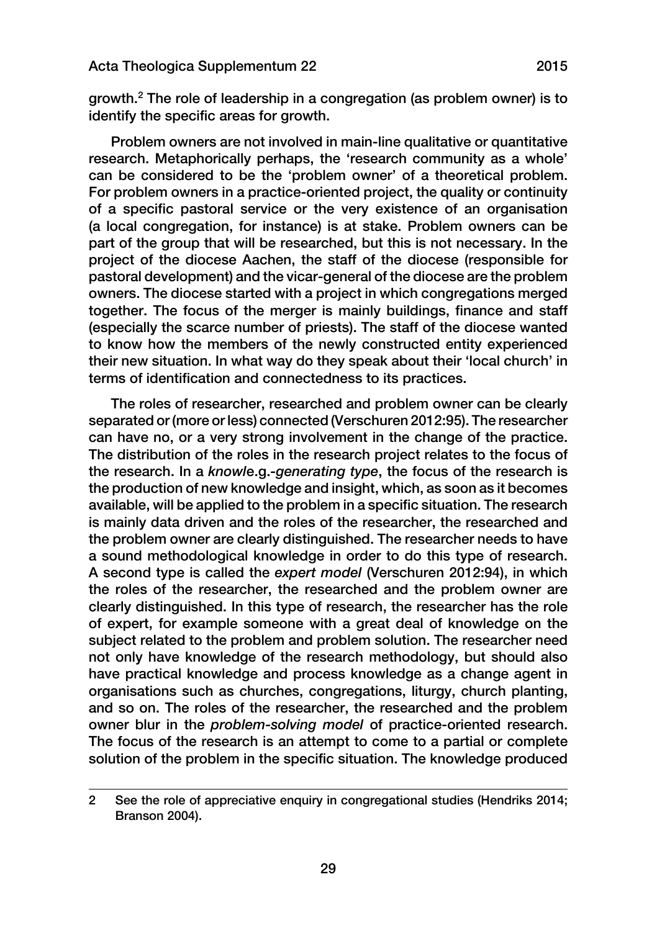growth.2 The role of leadership in a congregation (as problem owner) is to identify the specific areas for growth.

Problem owners are not involved in main-line qualitative or quantitative research. Metaphorically perhaps, the 'research community as a whole' can be considered to be the 'problem owner' of a theoretical problem. For problem owners in a practice-oriented project, the quality or continuity of a specific pastoral service or the very existence of an organisation (a local congregation, for instance) is at stake. Problem owners can be part of the group that will be researched, but this is not necessary. In the project of the diocese Aachen, the staff of the diocese (responsible for pastoral development) and the vicar-general of the diocese are the problem owners. The diocese started with a project in which congregations merged together. The focus of the merger is mainly buildings, finance and staff (especially the scarce number of priests). The staff of the diocese wanted to know how the members of the newly constructed entity experienced their new situation. In what way do they speak about their 'local church' in terms of identification and connectedness to its practices.

The roles of researcher, researched and problem owner can be clearly separated or (more or less) connected (Verschuren 2012:95). The researcher can have no, or a very strong involvement in the change of the practice. The distribution of the roles in the research project relates to the focus of the research. In a *knowl*e.g.*-generating type*, the focus of the research is the production of new knowledge and insight, which, as soon as it becomes available, will be applied to the problem in a specific situation. The research is mainly data driven and the roles of the researcher, the researched and the problem owner are clearly distinguished. The researcher needs to have a sound methodological knowledge in order to do this type of research. A second type is called the *expert model* (Verschuren 2012:94), in which the roles of the researcher, the researched and the problem owner are clearly distinguished. In this type of research, the researcher has the role of expert, for example someone with a great deal of knowledge on the subject related to the problem and problem solution. The researcher need not only have knowledge of the research methodology, but should also have practical knowledge and process knowledge as a change agent in organisations such as churches, congregations, liturgy, church planting, and so on. The roles of the researcher, the researched and the problem owner blur in the *problem-solving model* of practice-oriented research. The focus of the research is an attempt to come to a partial or complete solution of the problem in the specific situation. The knowledge produced

<sup>2</sup> See the role of appreciative enquiry in congregational studies (Hendriks 2014; Branson 2004).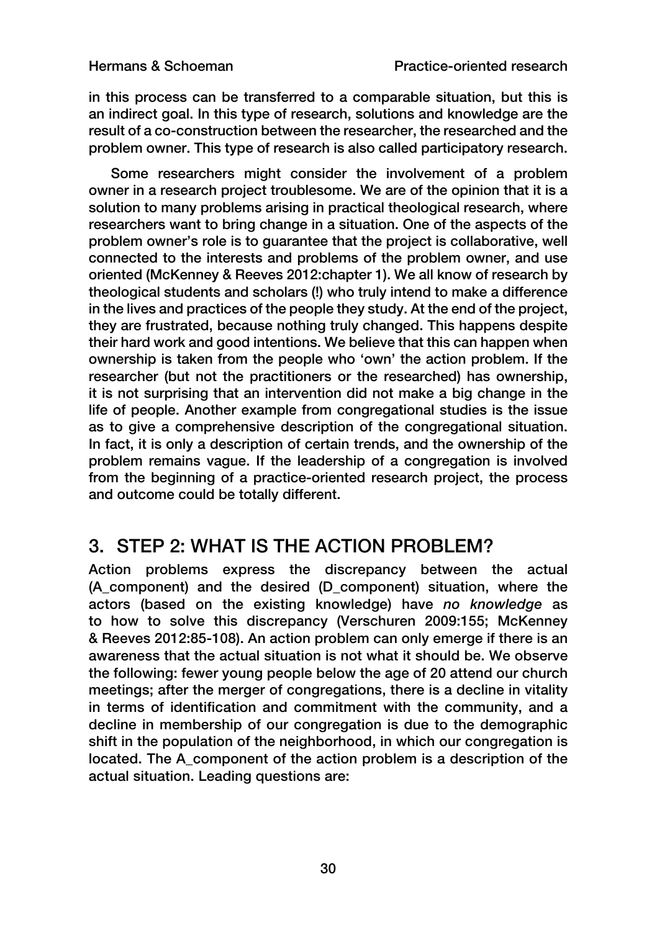in this process can be transferred to a comparable situation, but this is an indirect goal. In this type of research, solutions and knowledge are the result of a co-construction between the researcher, the researched and the problem owner. This type of research is also called participatory research.

Some researchers might consider the involvement of a problem owner in a research project troublesome. We are of the opinion that it is a solution to many problems arising in practical theological research, where researchers want to bring change in a situation. One of the aspects of the problem owner's role is to guarantee that the project is collaborative, well connected to the interests and problems of the problem owner, and use oriented (McKenney & Reeves 2012:chapter 1). We all know of research by theological students and scholars (!) who truly intend to make a difference in the lives and practices of the people they study. At the end of the project, they are frustrated, because nothing truly changed. This happens despite their hard work and good intentions. We believe that this can happen when ownership is taken from the people who 'own' the action problem. If the researcher (but not the practitioners or the researched) has ownership, it is not surprising that an intervention did not make a big change in the life of people. Another example from congregational studies is the issue as to give a comprehensive description of the congregational situation. In fact, it is only a description of certain trends, and the ownership of the problem remains vague. If the leadership of a congregation is involved from the beginning of a practice-oriented research project, the process and outcome could be totally different.

### 3. STEP 2: WHAT IS THE ACTION PROBLEM?

Action problems express the discrepancy between the actual (A\_component) and the desired (D\_component) situation, where the actors (based on the existing knowledge) have *no knowledge* as to how to solve this discrepancy (Verschuren 2009:155; McKenney & Reeves 2012:85-108). An action problem can only emerge if there is an awareness that the actual situation is not what it should be. We observe the following: fewer young people below the age of 20 attend our church meetings; after the merger of congregations, there is a decline in vitality in terms of identification and commitment with the community, and a decline in membership of our congregation is due to the demographic shift in the population of the neighborhood, in which our congregation is located. The A\_component of the action problem is a description of the actual situation. Leading questions are: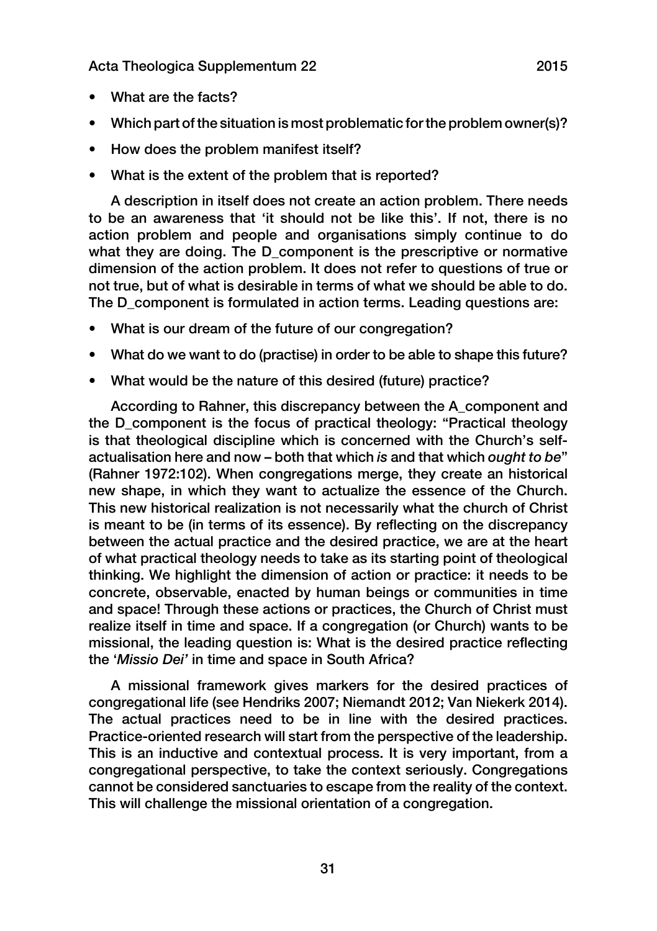- What are the facts?
- Which part of the situation is most problematic for the problem owner(s)?
- How does the problem manifest itself?
- What is the extent of the problem that is reported?

A description in itself does not create an action problem. There needs to be an awareness that 'it should not be like this'. If not, there is no action problem and people and organisations simply continue to do what they are doing. The D\_component is the prescriptive or normative dimension of the action problem. It does not refer to questions of true or not true, but of what is desirable in terms of what we should be able to do. The D\_component is formulated in action terms. Leading questions are:

- What is our dream of the future of our congregation?
- What do we want to do (practise) in order to be able to shape this future?
- What would be the nature of this desired (future) practice?

According to Rahner, this discrepancy between the A\_component and the D\_component is the focus of practical theology: "Practical theology is that theological discipline which is concerned with the Church's selfactualisation here and now – both that which *is* and that which *ought to be*" (Rahner 1972:102). When congregations merge, they create an historical new shape, in which they want to actualize the essence of the Church. This new historical realization is not necessarily what the church of Christ is meant to be (in terms of its essence). By reflecting on the discrepancy between the actual practice and the desired practice, we are at the heart of what practical theology needs to take as its starting point of theological thinking. We highlight the dimension of action or practice: it needs to be concrete, observable, enacted by human beings or communities in time and space! Through these actions or practices, the Church of Christ must realize itself in time and space. If a congregation (or Church) wants to be missional, the leading question is: What is the desired practice reflecting the '*Missio Dei'* in time and space in South Africa?

A missional framework gives markers for the desired practices of congregational life (see Hendriks 2007; Niemandt 2012; Van Niekerk 2014). The actual practices need to be in line with the desired practices. Practice-oriented research will start from the perspective of the leadership. This is an inductive and contextual process. It is very important, from a congregational perspective, to take the context seriously. Congregations cannot be considered sanctuaries to escape from the reality of the context. This will challenge the missional orientation of a congregation.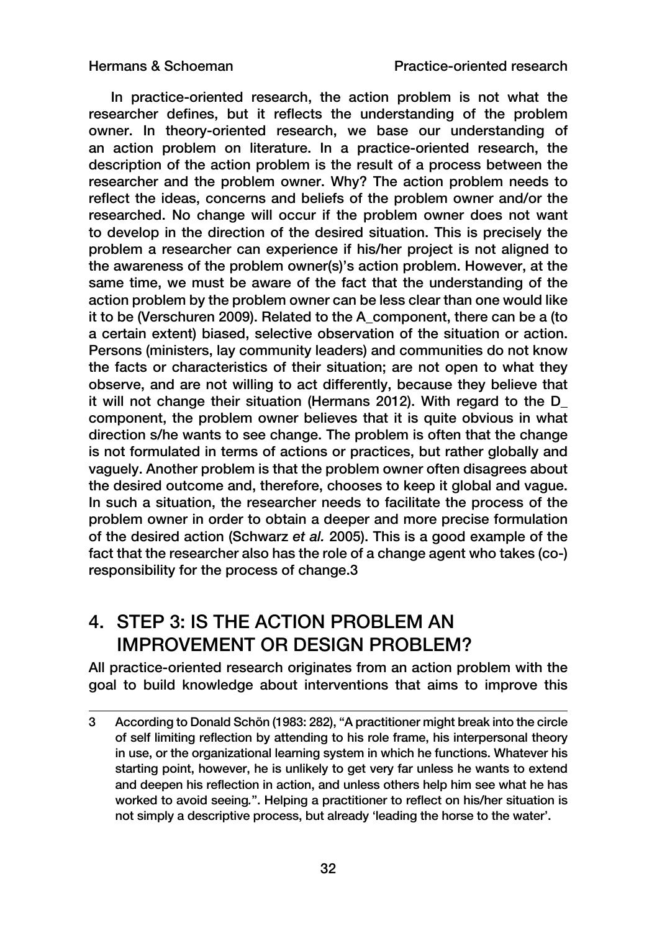In practice-oriented research, the action problem is not what the researcher defines, but it reflects the understanding of the problem owner. In theory-oriented research, we base our understanding of an action problem on literature. In a practice-oriented research, the description of the action problem is the result of a process between the researcher and the problem owner. Why? The action problem needs to reflect the ideas, concerns and beliefs of the problem owner and/or the researched. No change will occur if the problem owner does not want to develop in the direction of the desired situation. This is precisely the problem a researcher can experience if his/her project is not aligned to the awareness of the problem owner(s)'s action problem. However, at the same time, we must be aware of the fact that the understanding of the action problem by the problem owner can be less clear than one would like it to be (Verschuren 2009). Related to the A\_component, there can be a (to a certain extent) biased, selective observation of the situation or action. Persons (ministers, lay community leaders) and communities do not know the facts or characteristics of their situation; are not open to what they observe, and are not willing to act differently, because they believe that it will not change their situation (Hermans 2012). With regard to the D\_ component, the problem owner believes that it is quite obvious in what direction s/he wants to see change. The problem is often that the change is not formulated in terms of actions or practices, but rather globally and vaguely. Another problem is that the problem owner often disagrees about the desired outcome and, therefore, chooses to keep it global and vague. In such a situation, the researcher needs to facilitate the process of the problem owner in order to obtain a deeper and more precise formulation of the desired action (Schwarz *et al.* 2005). This is a good example of the fact that the researcher also has the role of a change agent who takes (co-) responsibility for the process of change.3

### 4. STEP 3: IS THE ACTION PROBLEM AN IMPROVEMENT OR DESIGN PROBLEM?

All practice-oriented research originates from an action problem with the goal to build knowledge about interventions that aims to improve this

<sup>3</sup> According to Donald Schön (1983: 282), "A practitioner might break into the circle of self limiting reflection by attending to his role frame, his interpersonal theory in use, or the organizational learning system in which he functions. Whatever his starting point, however, he is unlikely to get very far unless he wants to extend and deepen his reflection in action, and unless others help him see what he has worked to avoid seeing*.*". Helping a practitioner to reflect on his/her situation is not simply a descriptive process, but already 'leading the horse to the water'.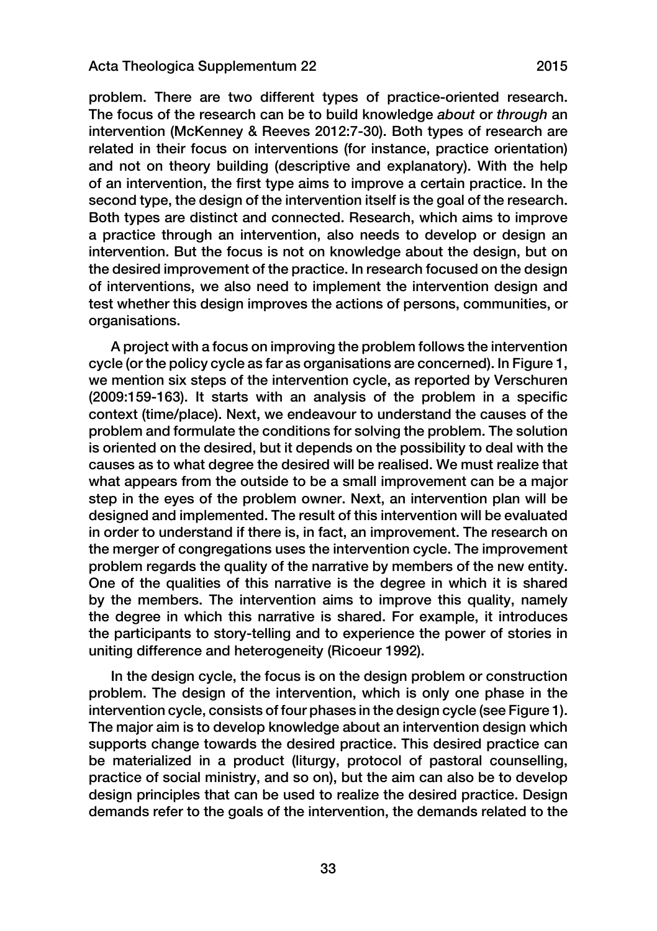problem. There are two different types of practice-oriented research. The focus of the research can be to build knowledge *about* or *through* an intervention (McKenney & Reeves 2012:7-30). Both types of research are related in their focus on interventions (for instance, practice orientation) and not on theory building (descriptive and explanatory). With the help of an intervention, the first type aims to improve a certain practice. In the second type, the design of the intervention itself is the goal of the research. Both types are distinct and connected. Research, which aims to improve a practice through an intervention, also needs to develop or design an intervention. But the focus is not on knowledge about the design, but on the desired improvement of the practice. In research focused on the design of interventions, we also need to implement the intervention design and test whether this design improves the actions of persons, communities, or organisations.

A project with a focus on improving the problem follows the intervention cycle (or the policy cycle as far as organisations are concerned). In Figure 1, we mention six steps of the intervention cycle, as reported by Verschuren (2009:159-163). It starts with an analysis of the problem in a specific context (time/place). Next, we endeavour to understand the causes of the problem and formulate the conditions for solving the problem. The solution is oriented on the desired, but it depends on the possibility to deal with the causes as to what degree the desired will be realised. We must realize that what appears from the outside to be a small improvement can be a major step in the eyes of the problem owner. Next, an intervention plan will be designed and implemented. The result of this intervention will be evaluated in order to understand if there is, in fact, an improvement. The research on the merger of congregations uses the intervention cycle. The improvement problem regards the quality of the narrative by members of the new entity. One of the qualities of this narrative is the degree in which it is shared by the members. The intervention aims to improve this quality, namely the degree in which this narrative is shared. For example, it introduces the participants to story-telling and to experience the power of stories in uniting difference and heterogeneity (Ricoeur 1992).

In the design cycle, the focus is on the design problem or construction problem. The design of the intervention, which is only one phase in the intervention cycle, consists of four phases in the design cycle (see Figure 1). The major aim is to develop knowledge about an intervention design which supports change towards the desired practice. This desired practice can be materialized in a product (liturgy, protocol of pastoral counselling, practice of social ministry, and so on), but the aim can also be to develop design principles that can be used to realize the desired practice. Design demands refer to the goals of the intervention, the demands related to the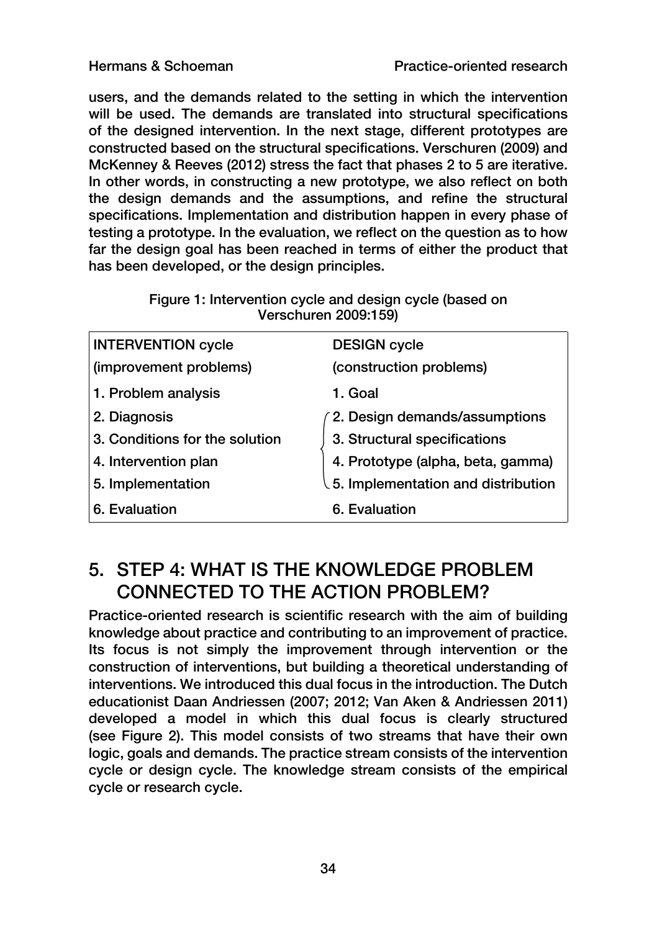users, and the demands related to the setting in which the intervention will be used. The demands are translated into structural specifications of the designed intervention. In the next stage, different prototypes are constructed based on the structural specifications. Verschuren (2009) and McKenney & Reeves (2012) stress the fact that phases 2 to 5 are iterative. In other words, in constructing a new prototype, we also reflect on both the design demands and the assumptions, and refine the structural specifications. Implementation and distribution happen in every phase of testing a prototype. In the evaluation, we reflect on the question as to how far the design goal has been reached in terms of either the product that has been developed, or the design principles.

| Figure 1: Intervention cycle and design cycle (based on |
|---------------------------------------------------------|
| Verschuren 2009:159)                                    |

| <b>INTERVENTION cycle</b>      | <b>DESIGN cycle</b>                |
|--------------------------------|------------------------------------|
| (improvement problems)         | (construction problems)            |
| 1. Problem analysis            | 1. Goal                            |
| 2. Diagnosis                   | 2. Design demands/assumptions      |
| 3. Conditions for the solution | 3. Structural specifications       |
| 4. Intervention plan           | 4. Prototype (alpha, beta, gamma)  |
| 5. Implementation              | 5. Implementation and distribution |
| 6. Evaluation                  | 6. Evaluation                      |

## 5. STEP 4: WHAT IS THE KNOWLEDGE PROBLEM CONNECTED TO THE ACTION PROBLEM?

Practice-oriented research is scientific research with the aim of building knowledge about practice and contributing to an improvement of practice. Its focus is not simply the improvement through intervention or the construction of interventions, but building a theoretical understanding of interventions. We introduced this dual focus in the introduction. The Dutch educationist Daan Andriessen (2007; 2012; Van Aken & Andriessen 2011) developed a model in which this dual focus is clearly structured (see Figure 2). This model consists of two streams that have their own logic, goals and demands. The practice stream consists of the intervention cycle or design cycle. The knowledge stream consists of the empirical cycle or research cycle.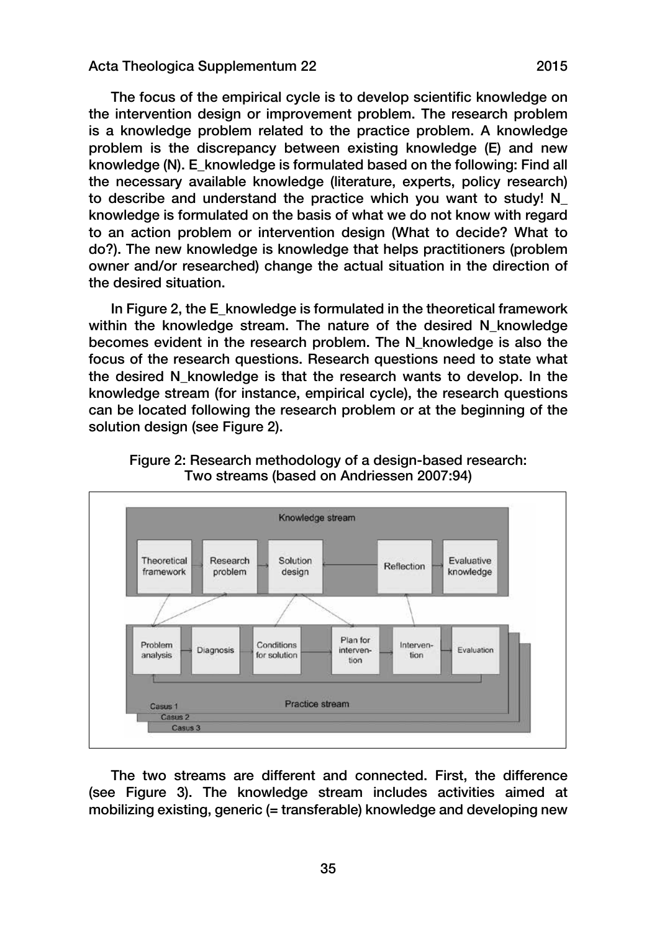The focus of the empirical cycle is to develop scientific knowledge on the intervention design or improvement problem. The research problem is a knowledge problem related to the practice problem. A knowledge problem is the discrepancy between existing knowledge (E) and new knowledge (N). E\_knowledge is formulated based on the following: Find all the necessary available knowledge (literature, experts, policy research) to describe and understand the practice which you want to study! N\_ knowledge is formulated on the basis of what we do not know with regard to an action problem or intervention design (What to decide? What to do?). The new knowledge is knowledge that helps practitioners (problem owner and/or researched) change the actual situation in the direction of the desired situation.

In Figure 2, the E\_knowledge is formulated in the theoretical framework within the knowledge stream. The nature of the desired N knowledge becomes evident in the research problem. The N\_knowledge is also the focus of the research questions. Research questions need to state what the desired N\_knowledge is that the research wants to develop. In the knowledge stream (for instance, empirical cycle), the research questions can be located following the research problem or at the beginning of the solution design (see Figure 2).



Figure 2: Research methodology of a design-based research: Two streams (based on Andriessen 2007:94)

The two streams are different and connected. First, the difference (see Figure 3). The knowledge stream includes activities aimed at mobilizing existing, generic (= transferable) knowledge and developing new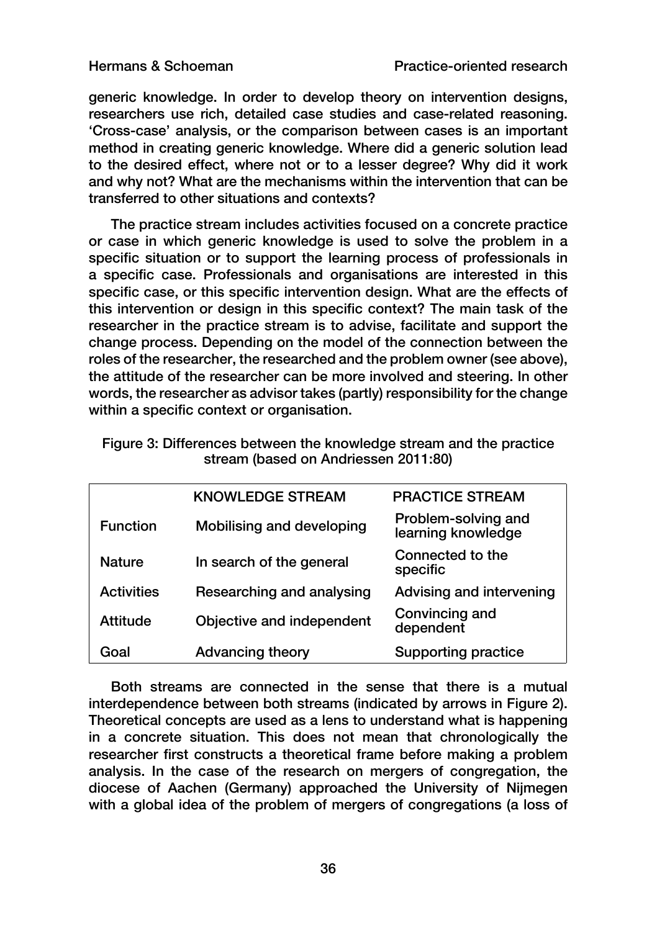generic knowledge. In order to develop theory on intervention designs, researchers use rich, detailed case studies and case-related reasoning. 'Cross-case' analysis, or the comparison between cases is an important method in creating generic knowledge. Where did a generic solution lead to the desired effect, where not or to a lesser degree? Why did it work and why not? What are the mechanisms within the intervention that can be transferred to other situations and contexts?

The practice stream includes activities focused on a concrete practice or case in which generic knowledge is used to solve the problem in a specific situation or to support the learning process of professionals in a specific case. Professionals and organisations are interested in this specific case, or this specific intervention design. What are the effects of this intervention or design in this specific context? The main task of the researcher in the practice stream is to advise, facilitate and support the change process. Depending on the model of the connection between the roles of the researcher, the researched and the problem owner (see above), the attitude of the researcher can be more involved and steering. In other words, the researcher as advisor takes (partly) responsibility for the change within a specific context or organisation.

|                   | <b>KNOWLEDGE STREAM</b>   | <b>PRACTICE STREAM</b>                    |
|-------------------|---------------------------|-------------------------------------------|
| <b>Function</b>   | Mobilising and developing | Problem-solving and<br>learning knowledge |
| <b>Nature</b>     | In search of the general  | Connected to the<br>specific              |
| <b>Activities</b> | Researching and analysing | Advising and intervening                  |
| Attitude          | Objective and independent | Convincing and<br>dependent               |
| Goal              | <b>Advancing theory</b>   | <b>Supporting practice</b>                |

Figure 3: Differences between the knowledge stream and the practice stream (based on Andriessen 2011:80)

Both streams are connected in the sense that there is a mutual interdependence between both streams (indicated by arrows in Figure 2). Theoretical concepts are used as a lens to understand what is happening in a concrete situation. This does not mean that chronologically the researcher first constructs a theoretical frame before making a problem analysis. In the case of the research on mergers of congregation, the diocese of Aachen (Germany) approached the University of Nijmegen with a global idea of the problem of mergers of congregations (a loss of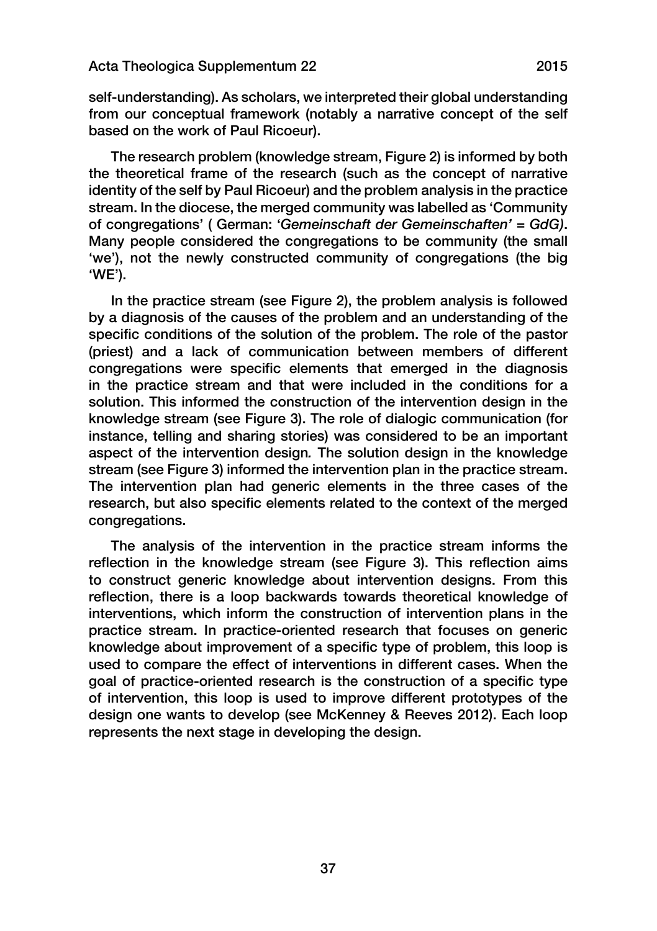self-understanding). As scholars, we interpreted their global understanding from our conceptual framework (notably a narrative concept of the self based on the work of Paul Ricoeur).

The research problem (knowledge stream, Figure 2) is informed by both the theoretical frame of the research (such as the concept of narrative identity of the self by Paul Ricoeur) and the problem analysis in the practice stream. In the diocese, the merged community was labelled as 'Community of congregations' ( German: '*Gemeinschaft der Gemeinschaften' = GdG)*. Many people considered the congregations to be community (the small 'we'), not the newly constructed community of congregations (the big 'WE').

In the practice stream (see Figure 2), the problem analysis is followed by a diagnosis of the causes of the problem and an understanding of the specific conditions of the solution of the problem. The role of the pastor (priest) and a lack of communication between members of different congregations were specific elements that emerged in the diagnosis in the practice stream and that were included in the conditions for a solution. This informed the construction of the intervention design in the knowledge stream (see Figure 3). The role of dialogic communication (for instance, telling and sharing stories) was considered to be an important aspect of the intervention design*.* The solution design in the knowledge stream (see Figure 3) informed the intervention plan in the practice stream. The intervention plan had generic elements in the three cases of the research, but also specific elements related to the context of the merged congregations.

The analysis of the intervention in the practice stream informs the reflection in the knowledge stream (see Figure 3). This reflection aims to construct generic knowledge about intervention designs. From this reflection, there is a loop backwards towards theoretical knowledge of interventions, which inform the construction of intervention plans in the practice stream. In practice-oriented research that focuses on generic knowledge about improvement of a specific type of problem, this loop is used to compare the effect of interventions in different cases. When the goal of practice-oriented research is the construction of a specific type of intervention, this loop is used to improve different prototypes of the design one wants to develop (see McKenney & Reeves 2012). Each loop represents the next stage in developing the design.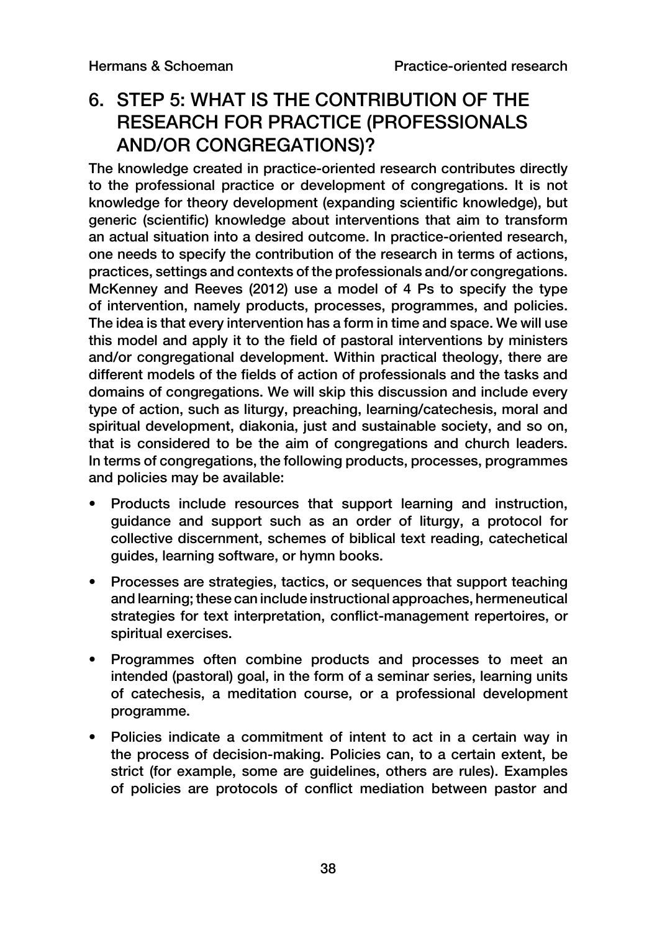## 6. STEP 5: WHAT IS THE CONTRIBUTION OF THE RESEARCH FOR PRACTICE (PROFESSIONALS AND/OR CONGREGATIONS)?

The knowledge created in practice-oriented research contributes directly to the professional practice or development of congregations. It is not knowledge for theory development (expanding scientific knowledge), but generic (scientific) knowledge about interventions that aim to transform an actual situation into a desired outcome. In practice-oriented research, one needs to specify the contribution of the research in terms of actions, practices, settings and contexts of the professionals and/or congregations. McKenney and Reeves (2012) use a model of 4 Ps to specify the type of intervention, namely products, processes, programmes, and policies. The idea is that every intervention has a form in time and space. We will use this model and apply it to the field of pastoral interventions by ministers and/or congregational development. Within practical theology, there are different models of the fields of action of professionals and the tasks and domains of congregations. We will skip this discussion and include every type of action, such as liturgy, preaching, learning/catechesis, moral and spiritual development, diakonia, just and sustainable society, and so on, that is considered to be the aim of congregations and church leaders. In terms of congregations, the following products, processes, programmes and policies may be available:

- Products include resources that support learning and instruction, guidance and support such as an order of liturgy, a protocol for collective discernment, schemes of biblical text reading, catechetical guides, learning software, or hymn books.
- Processes are strategies, tactics, or sequences that support teaching and learning; these can include instructional approaches, hermeneutical strategies for text interpretation, conflict-management repertoires, or spiritual exercises.
- Programmes often combine products and processes to meet an intended (pastoral) goal, in the form of a seminar series, learning units of catechesis, a meditation course, or a professional development programme.
- Policies indicate a commitment of intent to act in a certain way in the process of decision-making. Policies can, to a certain extent, be strict (for example, some are guidelines, others are rules). Examples of policies are protocols of conflict mediation between pastor and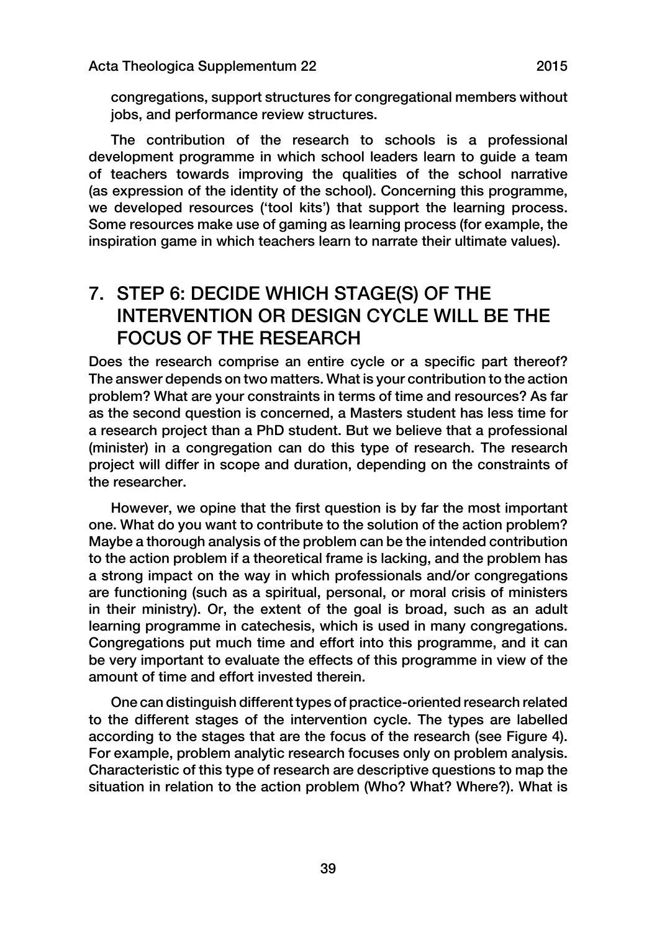congregations, support structures for congregational members without jobs, and performance review structures.

The contribution of the research to schools is a professional development programme in which school leaders learn to guide a team of teachers towards improving the qualities of the school narrative (as expression of the identity of the school). Concerning this programme, we developed resources ('tool kits') that support the learning process. Some resources make use of gaming as learning process (for example, the inspiration game in which teachers learn to narrate their ultimate values).

### 7. STEP 6: DECIDE WHICH STAGE(S) OF THE INTERVENTION OR DESIGN CYCLE WILL BE THE FOCUS OF THE RESEARCH

Does the research comprise an entire cycle or a specific part thereof? The answer depends on two matters. What is your contribution to the action problem? What are your constraints in terms of time and resources? As far as the second question is concerned, a Masters student has less time for a research project than a PhD student. But we believe that a professional (minister) in a congregation can do this type of research. The research project will differ in scope and duration, depending on the constraints of the researcher.

However, we opine that the first question is by far the most important one. What do you want to contribute to the solution of the action problem? Maybe a thorough analysis of the problem can be the intended contribution to the action problem if a theoretical frame is lacking, and the problem has a strong impact on the way in which professionals and/or congregations are functioning (such as a spiritual, personal, or moral crisis of ministers in their ministry). Or, the extent of the goal is broad, such as an adult learning programme in catechesis, which is used in many congregations. Congregations put much time and effort into this programme, and it can be very important to evaluate the effects of this programme in view of the amount of time and effort invested therein.

One can distinguish different types of practice-oriented research related to the different stages of the intervention cycle. The types are labelled according to the stages that are the focus of the research (see Figure 4). For example, problem analytic research focuses only on problem analysis. Characteristic of this type of research are descriptive questions to map the situation in relation to the action problem (Who? What? Where?). What is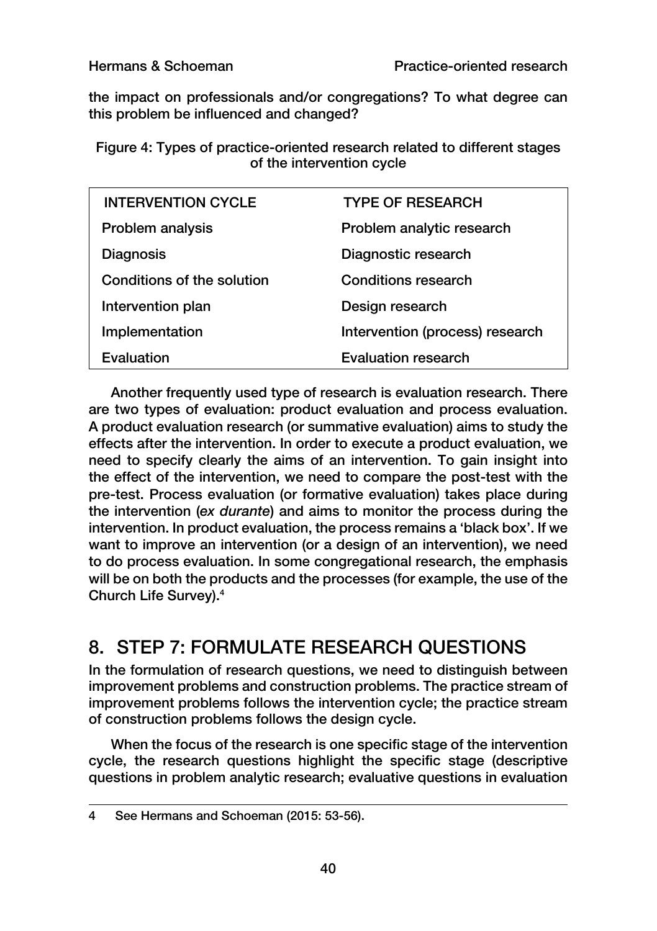the impact on professionals and/or congregations? To what degree can this problem be influenced and changed?

Figure 4: Types of practice-oriented research related to different stages of the intervention cycle

| <b>INTERVENTION CYCLE</b>  | <b>TYPE OF RESEARCH</b>         |
|----------------------------|---------------------------------|
| <b>Problem analysis</b>    | Problem analytic research       |
| <b>Diagnosis</b>           | Diagnostic research             |
| Conditions of the solution | <b>Conditions research</b>      |
| Intervention plan          | Design research                 |
| Implementation             | Intervention (process) research |
| Evaluation                 | <b>Evaluation research</b>      |

Another frequently used type of research is evaluation research. There are two types of evaluation: product evaluation and process evaluation. A product evaluation research (or summative evaluation) aims to study the effects after the intervention. In order to execute a product evaluation, we need to specify clearly the aims of an intervention. To gain insight into the effect of the intervention, we need to compare the post-test with the pre-test. Process evaluation (or formative evaluation) takes place during the intervention (*ex durante*) and aims to monitor the process during the intervention. In product evaluation, the process remains a 'black box'. If we want to improve an intervention (or a design of an intervention), we need to do process evaluation. In some congregational research, the emphasis will be on both the products and the processes (for example, the use of the Church Life Survey).4

## 8. STEP 7: FORMULATE RESEARCH QUESTIONS

In the formulation of research questions, we need to distinguish between improvement problems and construction problems. The practice stream of improvement problems follows the intervention cycle; the practice stream of construction problems follows the design cycle.

When the focus of the research is one specific stage of the intervention cycle, the research questions highlight the specific stage (descriptive questions in problem analytic research; evaluative questions in evaluation

<sup>4</sup> See Hermans and Schoeman (2015: 53-56).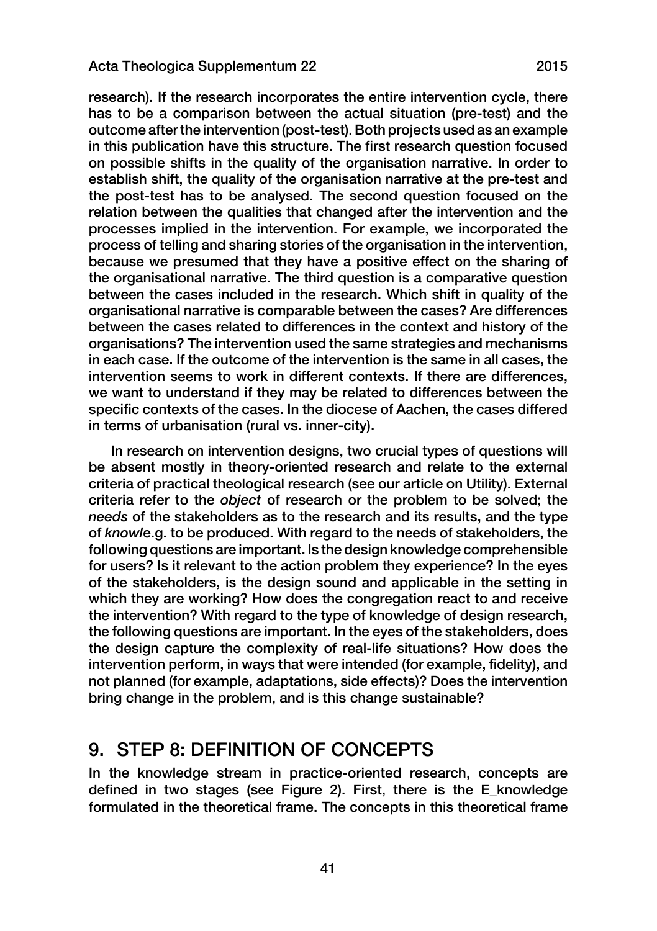research). If the research incorporates the entire intervention cycle, there has to be a comparison between the actual situation (pre-test) and the outcome after the intervention (post-test). Both projects used as an example in this publication have this structure. The first research question focused on possible shifts in the quality of the organisation narrative. In order to establish shift, the quality of the organisation narrative at the pre-test and the post-test has to be analysed. The second question focused on the relation between the qualities that changed after the intervention and the processes implied in the intervention. For example, we incorporated the process of telling and sharing stories of the organisation in the intervention, because we presumed that they have a positive effect on the sharing of the organisational narrative. The third question is a comparative question between the cases included in the research. Which shift in quality of the organisational narrative is comparable between the cases? Are differences between the cases related to differences in the context and history of the organisations? The intervention used the same strategies and mechanisms in each case. If the outcome of the intervention is the same in all cases, the intervention seems to work in different contexts. If there are differences, we want to understand if they may be related to differences between the specific contexts of the cases. In the diocese of Aachen, the cases differed in terms of urbanisation (rural vs. inner-city).

In research on intervention designs, two crucial types of questions will be absent mostly in theory-oriented research and relate to the external criteria of practical theological research (see our article on Utility). External criteria refer to the *object* of research or the problem to be solved; the *needs* of the stakeholders as to the research and its results, and the type of *knowl*e.g. to be produced. With regard to the needs of stakeholders, the following questions are important. Is the design knowledge comprehensible for users? Is it relevant to the action problem they experience? In the eyes of the stakeholders, is the design sound and applicable in the setting in which they are working? How does the congregation react to and receive the intervention? With regard to the type of knowledge of design research, the following questions are important. In the eyes of the stakeholders, does the design capture the complexity of real-life situations? How does the intervention perform, in ways that were intended (for example, fidelity), and not planned (for example, adaptations, side effects)? Does the intervention bring change in the problem, and is this change sustainable?

### 9. STEP 8: DEFINITION OF CONCEPTS

In the knowledge stream in practice-oriented research, concepts are defined in two stages (see Figure 2). First, there is the E\_knowledge formulated in the theoretical frame. The concepts in this theoretical frame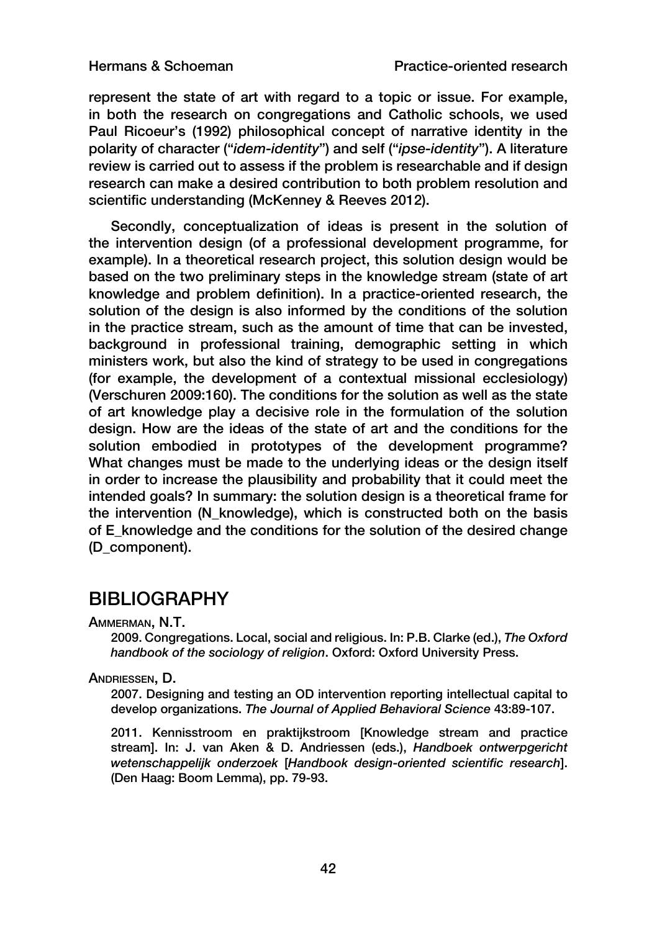represent the state of art with regard to a topic or issue. For example, in both the research on congregations and Catholic schools, we used Paul Ricoeur's (1992) philosophical concept of narrative identity in the polarity of character ("*idem-identity*") and self ("*ipse-identity*"). A literature review is carried out to assess if the problem is researchable and if design research can make a desired contribution to both problem resolution and scientific understanding (McKenney & Reeves 2012).

Secondly, conceptualization of ideas is present in the solution of the intervention design (of a professional development programme, for example). In a theoretical research project, this solution design would be based on the two preliminary steps in the knowledge stream (state of art knowledge and problem definition). In a practice-oriented research, the solution of the design is also informed by the conditions of the solution in the practice stream, such as the amount of time that can be invested, background in professional training, demographic setting in which ministers work, but also the kind of strategy to be used in congregations (for example, the development of a contextual missional ecclesiology) (Verschuren 2009:160). The conditions for the solution as well as the state of art knowledge play a decisive role in the formulation of the solution design. How are the ideas of the state of art and the conditions for the solution embodied in prototypes of the development programme? What changes must be made to the underlying ideas or the design itself in order to increase the plausibility and probability that it could meet the intended goals? In summary: the solution design is a theoretical frame for the intervention (N\_knowledge), which is constructed both on the basis of E\_knowledge and the conditions for the solution of the desired change (D\_component).

### **BIBLIOGRAPHY**

AMMERMAN, N.T.

2009. Congregations. Local, social and religious. In: P.B. Clarke (ed.), *The Oxford handbook of the sociology of religion*. Oxford: Oxford University Press.

Andriessen, D.

2007. Designing and testing an OD intervention reporting intellectual capital to develop organizations. *The Journal of Applied Behavioral Science* 43:89-107.

2011. Kennisstroom en praktijkstroom [Knowledge stream and practice stream]. In: J. van Aken & D. Andriessen (eds.), *Handboek ontwerpgericht wetenschappelijk onderzoek* [*Handbook design-oriented scientific research*]. (Den Haag: Boom Lemma), pp. 79-93.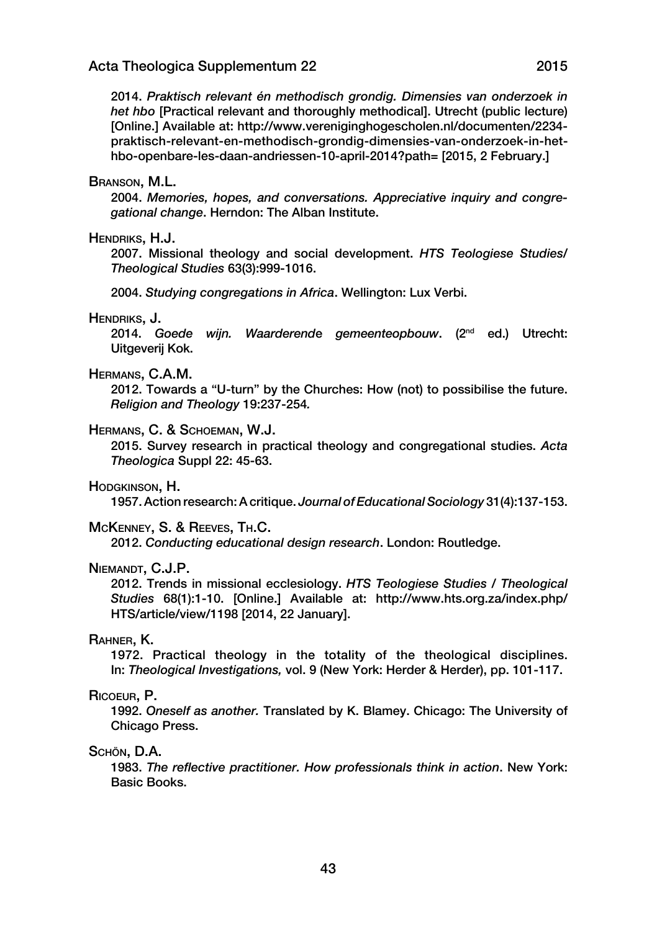2014. *Praktisch relevant én methodisch grondig. Dimensies van onderzoek in het hbo* [Practical relevant and thoroughly methodical]. Utrecht (public lecture) [Online.] Available at: http://www.vereniginghogescholen.nl/documenten/2234 praktisch-relevant-en-methodisch-grondig-dimensies-van-onderzoek-in-hethbo-openbare-les-daan-andriessen-10-april-2014?path= [2015, 2 February.]

#### Branson, M.L.

2004. *Memories, hopes, and conversations. Appreciative inquiry and congregational change*. Herndon: The Alban Institute.

### Hendriks, H.J.

2007. Missional theology and social development. *HTS Teologiese Studies/ Theological Studies* 63(3):999-1016.

2004. *Studying congregations in Africa*. Wellington: Lux Verbi.

#### Hendriks, J.

2014. *Goede wijn. Waarderend*e *gemeenteopbouw*. (2nd ed.) Utrecht: Uitgeverij Kok.

#### Hermans, C.A.M.

2012. Towards a "U-turn" by the Churches: How (not) to possibilise the future. *Religion and Theology* 19:237-254*.*

### Hermans, C. & Schoeman, W.J.

2015. Survey research in practical theology and congregational studies. *Acta Theologica* Suppl 22: 45-63.

#### Hodgkinson, H.

1957. Action research: A critique. *Journal of Educational Sociology* 31(4):137-153.

#### McKenney, S. & Reeves, Th.C.

2012. *Conducting educational design research*. London: Routledge.

#### Niemandt, C.J.P.

2012. Trends in missional ecclesiology. *HTS Teologiese Studies / Theological Studies* 68(1):1-10. [Online.] Available at: http://www.hts.org.za/index.php/ HTS/article/view/1198 [2014, 22 January].

#### Rahner, K.

1972. Practical theology in the totality of the theological disciplines. In: *Theological Investigations,* vol. 9 (New York: Herder & Herder), pp. 101-117.

#### Ricoeur, P.

1992. *Oneself as another.* Translated by K. Blamey. Chicago: The University of Chicago Press.

### SCHÖN, D.A.

1983. *The reflective practitioner. How professionals think in action*. New York: Basic Books.